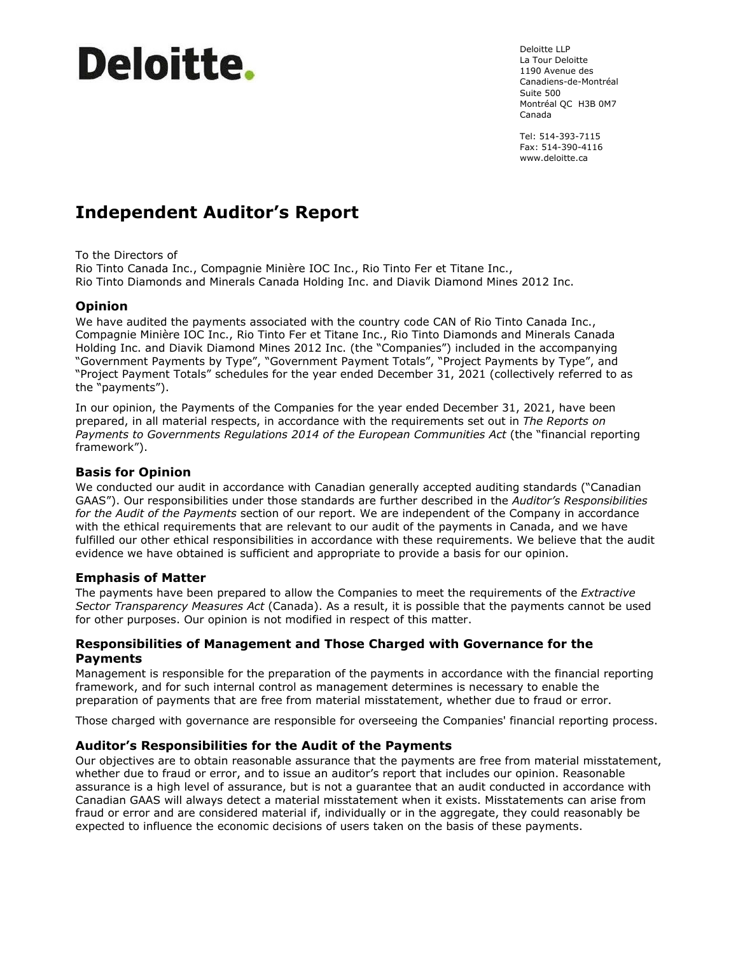# **Deloitte**

Deloitte LLP La Tour Deloitte 1190 Avenue des Canadiens-de-Montréal Suite 500 Montréal QC H3B 0M7 Canada

Tel: 514-393-7115 Fax: 514-390-4116 www.deloitte.ca

# **Independent Auditor's Report**

To the Directors of

Rio Tinto Canada Inc., Compagnie Minière IOC Inc., Rio Tinto Fer et Titane Inc., Rio Tinto Diamonds and Minerals Canada Holding Inc. and Diavik Diamond Mines 2012 Inc.

## **Opinion**

We have audited the payments associated with the country code CAN of Rio Tinto Canada Inc., Compagnie Minière IOC Inc., Rio Tinto Fer et Titane Inc., Rio Tinto Diamonds and Minerals Canada Holding Inc. and Diavik Diamond Mines 2012 Inc. (the "Companies") included in the accompanying "Government Payments by Type", "Government Payment Totals", "Project Payments by Type", and "Project Payment Totals" schedules for the year ended December 31, 2021 (collectively referred to as the "payments").

In our opinion, the Payments of the Companies for the year ended December 31, 2021, have been prepared, in all material respects, in accordance with the requirements set out in *The Reports on Payments to Governments Regulations 2014 of the European Communities Act* (the "financial reporting framework").

#### **Basis for Opinion**

We conducted our audit in accordance with Canadian generally accepted auditing standards ("Canadian GAAS"). Our responsibilities under those standards are further described in the *Auditor's Responsibilities for the Audit of the Payments* section of our report. We are independent of the Company in accordance with the ethical requirements that are relevant to our audit of the payments in Canada, and we have fulfilled our other ethical responsibilities in accordance with these requirements. We believe that the audit evidence we have obtained is sufficient and appropriate to provide a basis for our opinion.

#### **Emphasis of Matter**

The payments have been prepared to allow the Companies to meet the requirements of the *Extractive Sector Transparency Measures Act* (Canada). As a result, it is possible that the payments cannot be used for other purposes. Our opinion is not modified in respect of this matter.

#### **Responsibilities of Management and Those Charged with Governance for the Payments**

Management is responsible for the preparation of the payments in accordance with the financial reporting framework, and for such internal control as management determines is necessary to enable the preparation of payments that are free from material misstatement, whether due to fraud or error.

Those charged with governance are responsible for overseeing the Companies' financial reporting process.

## **Auditor's Responsibilities for the Audit of the Payments**

Our objectives are to obtain reasonable assurance that the payments are free from material misstatement, whether due to fraud or error, and to issue an auditor's report that includes our opinion. Reasonable assurance is a high level of assurance, but is not a guarantee that an audit conducted in accordance with Canadian GAAS will always detect a material misstatement when it exists. Misstatements can arise from fraud or error and are considered material if, individually or in the aggregate, they could reasonably be expected to influence the economic decisions of users taken on the basis of these payments.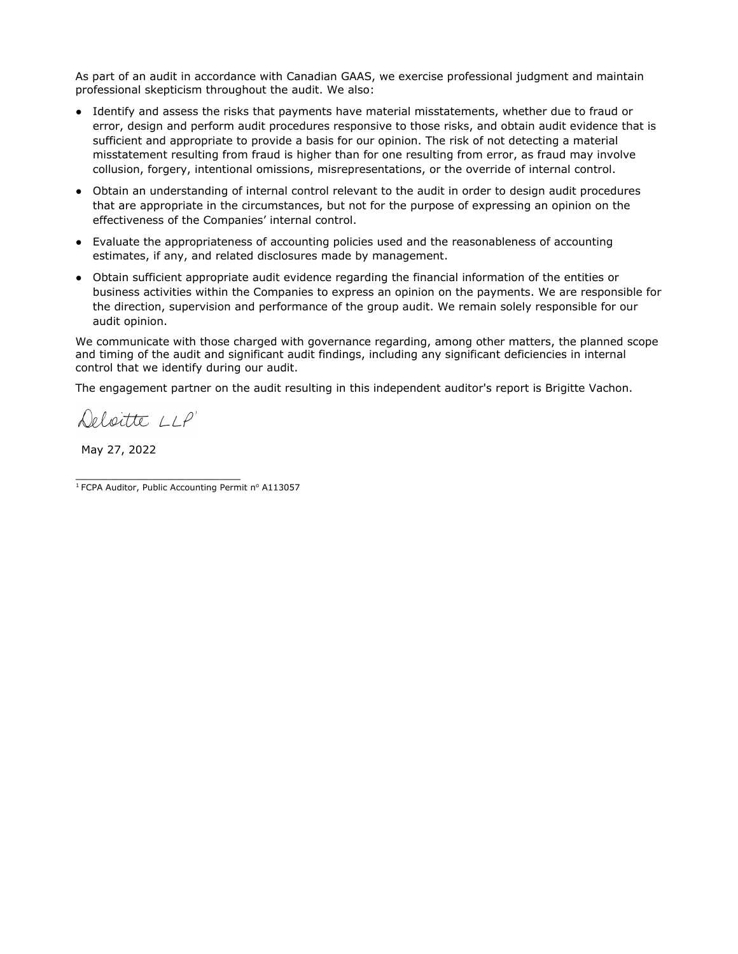As part of an audit in accordance with Canadian GAAS, we exercise professional judgment and maintain professional skepticism throughout the audit. We also:

- Identify and assess the risks that payments have material misstatements, whether due to fraud or error, design and perform audit procedures responsive to those risks, and obtain audit evidence that is sufficient and appropriate to provide a basis for our opinion. The risk of not detecting a material misstatement resulting from fraud is higher than for one resulting from error, as fraud may involve collusion, forgery, intentional omissions, misrepresentations, or the override of internal control.
- Obtain an understanding of internal control relevant to the audit in order to design audit procedures that are appropriate in the circumstances, but not for the purpose of expressing an opinion on the effectiveness of the Companies' internal control.
- Evaluate the appropriateness of accounting policies used and the reasonableness of accounting estimates, if any, and related disclosures made by management.
- Obtain sufficient appropriate audit evidence regarding the financial information of the entities or business activities within the Companies to express an opinion on the payments. We are responsible for the direction, supervision and performance of the group audit. We remain solely responsible for our audit opinion.

We communicate with those charged with governance regarding, among other matters, the planned scope and timing of the audit and significant audit findings, including any significant deficiencies in internal control that we identify during our audit.

The engagement partner on the audit resulting in this independent auditor's report is Brigitte Vachon.

Deloitte LLP

May 27, 2022

\_\_\_\_\_\_\_\_\_\_\_\_\_\_\_\_\_\_\_\_\_\_\_\_

 $1$  FCPA Auditor, Public Accounting Permit nº A113057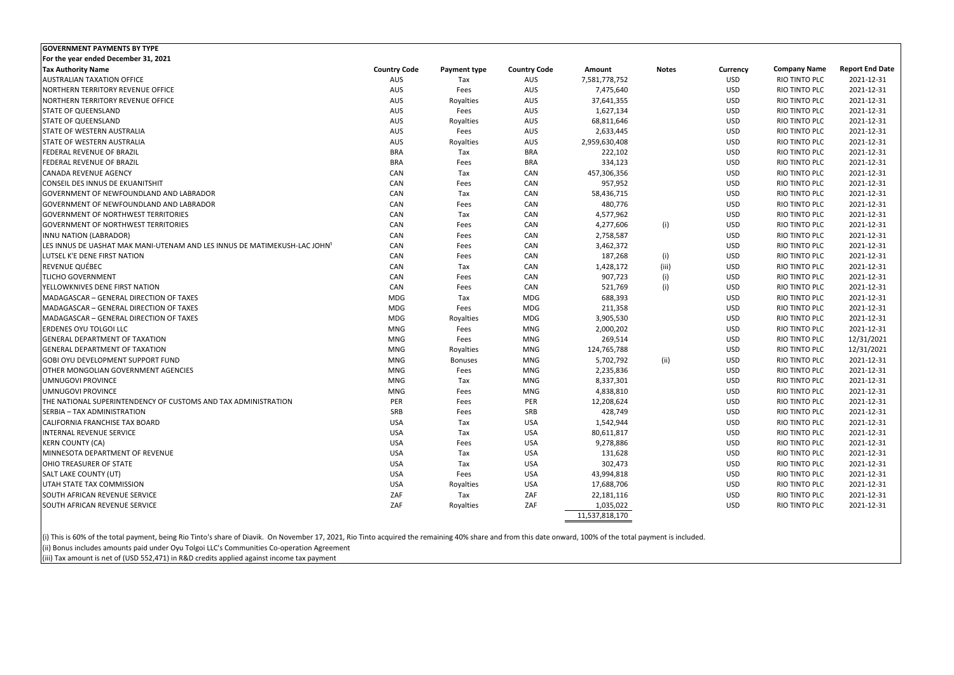| <b>GOVERNMENT PAYMENTS BY TYPE</b>                                        |                     |                     |                     |                |              |            |                     |                        |
|---------------------------------------------------------------------------|---------------------|---------------------|---------------------|----------------|--------------|------------|---------------------|------------------------|
| For the year ended December 31, 2021                                      |                     |                     |                     |                |              |            |                     |                        |
| <b>Tax Authority Name</b>                                                 | <b>Country Code</b> | <b>Payment type</b> | <b>Country Code</b> | <b>Amount</b>  | <b>Notes</b> | Currency   | <b>Company Name</b> | <b>Report End Date</b> |
| <b>AUSTRALIAN TAXATION OFFICE</b>                                         | AUS                 | Tax                 | AUS                 | 7,581,778,752  |              | <b>USD</b> | RIO TINTO PLC       | 2021-12-31             |
| NORTHERN TERRITORY REVENUE OFFICE                                         | AUS                 | Fees                | AUS                 | 7,475,640      |              | <b>USD</b> | RIO TINTO PLC       | 2021-12-31             |
| NORTHERN TERRITORY REVENUE OFFICE                                         | AUS                 | Royalties           | AUS                 | 37,641,355     |              | <b>USD</b> | RIO TINTO PLC       | 2021-12-31             |
| <b>STATE OF QUEENSLAND</b>                                                | AUS                 | Fees                | AUS                 | 1,627,134      |              | <b>USD</b> | RIO TINTO PLC       | 2021-12-31             |
| <b>STATE OF QUEENSLAND</b>                                                | AUS                 | Royalties           | AUS                 | 68,811,646     |              | <b>USD</b> | RIO TINTO PLC       | 2021-12-31             |
| <b>STATE OF WESTERN AUSTRALIA</b>                                         | AUS                 | Fees                | AUS                 | 2,633,445      |              | <b>USD</b> | RIO TINTO PLC       | 2021-12-31             |
| <b>STATE OF WESTERN AUSTRALIA</b>                                         | AUS                 | Royalties           | AUS                 | 2,959,630,408  |              | <b>USD</b> | RIO TINTO PLC       | 2021-12-31             |
| <b>FEDERAL REVENUE OF BRAZIL</b>                                          | <b>BRA</b>          | Tax                 | <b>BRA</b>          | 222,102        |              | <b>USD</b> | RIO TINTO PLC       | 2021-12-31             |
| <b>FEDERAL REVENUE OF BRAZIL</b>                                          | <b>BRA</b>          | Fees                | <b>BRA</b>          | 334,123        |              | <b>USD</b> | RIO TINTO PLC       | 2021-12-31             |
| <b>CANADA REVENUE AGENCY</b>                                              | CAN                 | Tax                 | CAN                 | 457,306,356    |              | <b>USD</b> | RIO TINTO PLC       | 2021-12-31             |
| CONSEIL DES INNUS DE EKUANITSHIT                                          | CAN                 | Fees                | CAN                 | 957,952        |              | <b>USD</b> | RIO TINTO PLC       | 2021-12-31             |
| <b>GOVERNMENT OF NEWFOUNDLAND AND LABRADOR</b>                            | CAN                 | Tax                 | CAN                 | 58,436,715     |              | <b>USD</b> | RIO TINTO PLC       | 2021-12-31             |
| <b>GOVERNMENT OF NEWFOUNDLAND AND LABRADOR</b>                            | CAN                 | Fees                | CAN                 | 480,776        |              | <b>USD</b> | RIO TINTO PLC       | 2021-12-31             |
| <b>GOVERNMENT OF NORTHWEST TERRITORIES</b>                                | CAN                 | Tax                 | CAN                 | 4,577,962      |              | <b>USD</b> | RIO TINTO PLC       | 2021-12-31             |
| <b>GOVERNMENT OF NORTHWEST TERRITORIES</b>                                | CAN                 | Fees                | CAN                 | 4,277,606      | (i)          | <b>USD</b> | RIO TINTO PLC       | 2021-12-31             |
| INNU NATION (LABRADOR)                                                    | CAN                 | Fees                | CAN                 | 2,758,587      |              | <b>USD</b> | RIO TINTO PLC       | 2021-12-31             |
| LES INNUS DE UASHAT MAK MANI-UTENAM AND LES INNUS DE MATIMEKUSH-LAC JOHN' | CAN                 | Fees                | CAN                 | 3,462,372      |              | <b>USD</b> | RIO TINTO PLC       | 2021-12-31             |
| LUTSEL K'E DENE FIRST NATION                                              | CAN                 | Fees                | CAN                 | 187,268        | (i)          | <b>USD</b> | RIO TINTO PLC       | 2021-12-31             |
| REVENUE QUÉBEC                                                            | CAN                 | Tax                 | CAN                 | 1,428,172      | (iii)        | <b>USD</b> | RIO TINTO PLC       | 2021-12-31             |
| <b>TLICHO GOVERNMENT</b>                                                  | CAN                 | Fees                | CAN                 | 907,723        | (i)          | <b>USD</b> | RIO TINTO PLC       | 2021-12-31             |
| <b>YELLOWKNIVES DENE FIRST NATION</b>                                     | CAN                 | Fees                | CAN                 | 521,769        | (i)          | <b>USD</b> | RIO TINTO PLC       | 2021-12-31             |
| MADAGASCAR - GENERAL DIRECTION OF TAXES                                   | <b>MDG</b>          | Tax                 | MDG                 | 688,393        |              | <b>USD</b> | RIO TINTO PLC       | 2021-12-31             |
| MADAGASCAR - GENERAL DIRECTION OF TAXES                                   | MDG                 | Fees                | MDG                 | 211,358        |              | <b>USD</b> | RIO TINTO PLC       | 2021-12-31             |
| MADAGASCAR - GENERAL DIRECTION OF TAXES                                   | MDG                 | Royalties           | MDG                 | 3,905,530      |              | <b>USD</b> | RIO TINTO PLC       | 2021-12-31             |
| <b>ERDENES OYU TOLGOI LLC</b>                                             | MNG                 | Fees                | MNG                 | 2,000,202      |              | <b>USD</b> | RIO TINTO PLC       | 2021-12-31             |
| <b>GENERAL DEPARTMENT OF TAXATION</b>                                     | MNG                 | Fees                | <b>MNG</b>          | 269,514        |              | <b>USD</b> | RIO TINTO PLC       | 12/31/2021             |
| <b>GENERAL DEPARTMENT OF TAXATION</b>                                     | MNG                 | Royalties           | MNG                 | 124,765,788    |              | <b>USD</b> | RIO TINTO PLC       | 12/31/2021             |
| GOBI OYU DEVELOPMENT SUPPORT FUND                                         | MNG                 | <b>Bonuses</b>      | MNG                 | 5,702,792      | (ii)         | <b>USD</b> | RIO TINTO PLC       | 2021-12-31             |
| <b>OTHER MONGOLIAN GOVERNMENT AGENCIES</b>                                | MNG                 | Fees                | MNG                 | 2,235,836      |              | <b>USD</b> | RIO TINTO PLC       | 2021-12-31             |
| UMNUGOVI PROVINCE                                                         | MNG                 | Tax                 | MNG                 | 8,337,301      |              | <b>USD</b> | RIO TINTO PLC       | 2021-12-31             |
| UMNUGOVI PROVINCE                                                         | MNG                 | Fees                | MNG                 | 4,838,810      |              | <b>USD</b> | RIO TINTO PLC       | 2021-12-31             |
| <b>THE NATIONAL SUPERINTENDENCY OF CUSTOMS AND TAX ADMINISTRATION</b>     | PER                 | Fees                | <b>PER</b>          | 12,208,624     |              | <b>USD</b> | RIO TINTO PLC       | 2021-12-31             |
| SERBIA - TAX ADMINISTRATION                                               | SRB                 | Fees                | SRB                 | 428,749        |              | <b>USD</b> | RIO TINTO PLC       | 2021-12-31             |
| CALIFORNIA FRANCHISE TAX BOARD                                            | <b>USA</b>          | Tax                 | USA                 | 1,542,944      |              | <b>USD</b> | RIO TINTO PLC       | 2021-12-31             |
| <b>INTERNAL REVENUE SERVICE</b>                                           | USA                 | Tax                 | USA                 | 80,611,817     |              | <b>USD</b> | RIO TINTO PLC       | 2021-12-31             |
| <b>KERN COUNTY (CA)</b>                                                   | USA                 |                     | USA                 | 9,278,886      |              | USD        | RIO TINTO PLC       | 2021-12-31             |
| MINNESOTA DEPARTMENT OF REVENUE                                           | <b>USA</b>          | Fees                | USA                 |                |              | <b>USD</b> | RIO TINTO PLC       | 2021-12-31             |
|                                                                           |                     | Tax                 |                     | 131,628        |              |            |                     |                        |
| <b>OHIO TREASURER OF STATE</b>                                            | USA                 | Tax                 | USA                 | 302,473        |              | USD        | RIO TINTO PLC       | 2021-12-31             |
| <b>SALT LAKE COUNTY (UT)</b>                                              | USA                 | Fees                | USA                 | 43,994,818     |              | <b>USD</b> | RIO TINTO PLC       | 2021-12-31             |
| UTAH STATE TAX COMMISSION                                                 | USA                 | Royalties           | USA                 | 17,688,706     |              | <b>USD</b> | RIO TINTO PLC       | 2021-12-31             |
| SOUTH AFRICAN REVENUE SERVICE                                             | ZAF                 | Tax                 | ZAF                 | 22, 181, 116   |              | <b>USD</b> | RIO TINTO PLC       | 2021-12-31             |
| SOUTH AFRICAN REVENUE SERVICE                                             | ZAF                 | Royalties           | ZAF                 | 1,035,022      |              | <b>USD</b> | RIO TINTO PLC       | 2021-12-31             |
|                                                                           |                     |                     |                     | 11,537,818,170 |              |            |                     |                        |

(i) This is 60% of the total payment, being Rio Tinto's share of Diavik. On November 17, 2021, Rio Tinto acquired the remaining 40% share and from this date onward, 100% of the total payment is included. (ii) Bonus includes amounts paid under Oyu Tolgoi LLC's Communities Co‐operation Agreement

(iii) Tax amount is net of (USD 552,471) in R&D credits applied against income tax payment

| urrency:   | <b>Company Name</b>  | <b>Report End Date</b> |
|------------|----------------------|------------------------|
| <b>USD</b> | <b>RIO TINTO PLC</b> | 2021-12-31             |
| <b>USD</b> | <b>RIO TINTO PLC</b> | 2021-12-31             |
| <b>USD</b> | <b>RIO TINTO PLC</b> | 2021-12-31             |
| <b>USD</b> | RIO TINTO PLC        | 2021-12-31             |
| <b>USD</b> | <b>RIO TINTO PLC</b> | 2021-12-31             |
| <b>USD</b> | <b>RIO TINTO PLC</b> | 2021-12-31             |
| <b>USD</b> | <b>RIO TINTO PLC</b> | 2021-12-31             |
| <b>USD</b> | <b>RIO TINTO PLC</b> | 2021-12-31             |
| <b>USD</b> | <b>RIO TINTO PLC</b> | 2021-12-31             |
| <b>USD</b> | <b>RIO TINTO PLC</b> | 2021-12-31             |
| <b>USD</b> | <b>RIO TINTO PLC</b> | 2021-12-31             |
| <b>USD</b> | <b>RIO TINTO PLC</b> | 2021-12-31             |
| <b>USD</b> | <b>RIO TINTO PLC</b> | 2021-12-31             |
| <b>USD</b> | <b>RIO TINTO PLC</b> | 2021-12-31             |
| <b>USD</b> | <b>RIO TINTO PLC</b> | 2021-12-31             |
| <b>USD</b> | RIO TINTO PLC        | 2021-12-31             |
| <b>USD</b> | <b>RIO TINTO PLC</b> | 2021-12-31             |
| <b>USD</b> | <b>RIO TINTO PLC</b> | 2021-12-31             |
| <b>USD</b> | <b>RIO TINTO PLC</b> | 2021-12-31             |
| USD        | <b>RIO TINTO PLC</b> | 2021-12-31             |
| <b>USD</b> | <b>RIO TINTO PLC</b> | 2021-12-31             |
| USD        | <b>RIO TINTO PLC</b> | 2021-12-31             |
| <b>USD</b> | <b>RIO TINTO PLC</b> | 2021-12-31             |
| <b>USD</b> | <b>RIO TINTO PLC</b> | 2021-12-31             |
| <b>USD</b> | <b>RIO TINTO PLC</b> | 2021-12-31             |
| <b>USD</b> | <b>RIO TINTO PLC</b> | 12/31/2021             |
| <b>USD</b> | <b>RIO TINTO PLC</b> | 12/31/2021             |
| <b>USD</b> | <b>RIO TINTO PLC</b> | 2021-12-31             |
| <b>USD</b> | <b>RIO TINTO PLC</b> | 2021-12-31             |
| <b>USD</b> | <b>RIO TINTO PLC</b> | 2021-12-31             |
| <b>USD</b> | RIO TINTO PLC        | 2021-12-31             |
| <b>USD</b> | RIO TINTO PLC        | 2021-12-31             |
| <b>USD</b> | RIO TINTO PLC        | 2021-12-31             |
| USD        | RIO TINTO PLC        | 2021-12-31             |
| USD        | RIO TINTO PLC        | 2021-12-31             |
| <b>USD</b> | RIO TINTO PLC        | 2021-12-31             |
| <b>USD</b> | RIO TINTO PLC        | 2021-12-31             |
| <b>USD</b> | RIO TINTO PLC        | 2021-12-31             |
| <b>USD</b> | RIO TINTO PLC        | 2021-12-31             |
| <b>USD</b> | RIO TINTO PLC        | 2021-12-31             |
| <b>USD</b> | RIO TINTO PLC        | 2021-12-31             |
| USD        | RIO TINTO PLC        | 2021-12-31             |
|            |                      |                        |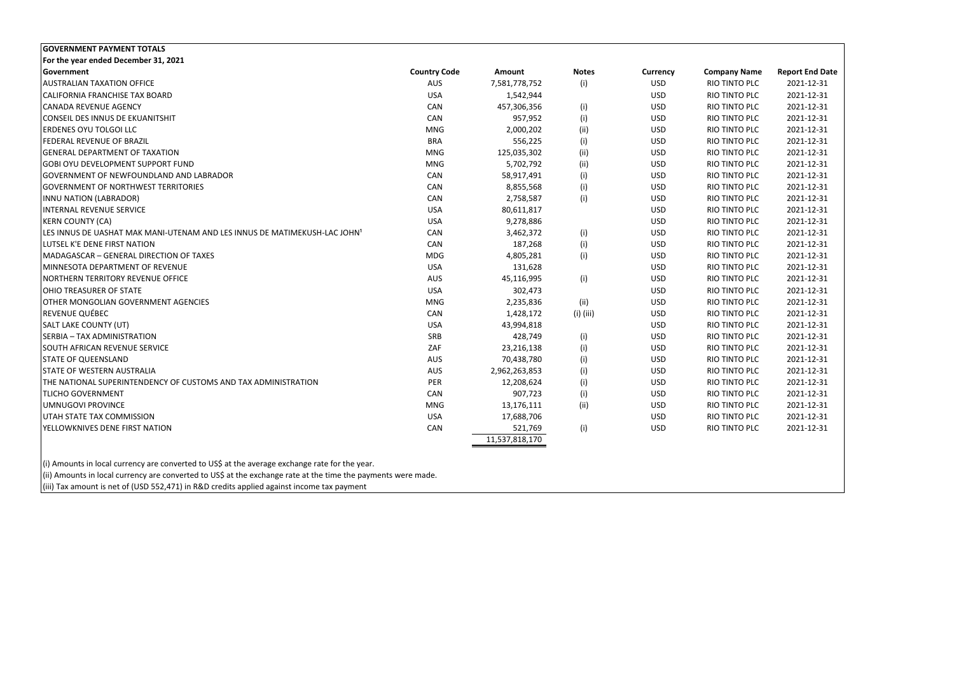| <b>GOVERNMENT PAYMENT TOTALS</b>                                          |                     |                |              |                 |                     |                        |
|---------------------------------------------------------------------------|---------------------|----------------|--------------|-----------------|---------------------|------------------------|
| For the year ended December 31, 2021                                      |                     |                |              |                 |                     |                        |
| Government                                                                | <b>Country Code</b> | Amount         | <b>Notes</b> | <b>Currency</b> | <b>Company Name</b> | <b>Report End Date</b> |
| <b>AUSTRALIAN TAXATION OFFICE</b>                                         | AUS                 | 7,581,778,752  | (i)          | <b>USD</b>      | RIO TINTO PLC       | 2021-12-31             |
| CALIFORNIA FRANCHISE TAX BOARD                                            | <b>USA</b>          | 1,542,944      |              | <b>USD</b>      | RIO TINTO PLC       | 2021-12-31             |
| <b>CANADA REVENUE AGENCY</b>                                              | CAN                 | 457,306,356    | (i)          | <b>USD</b>      | RIO TINTO PLC       | 2021-12-31             |
| <b>CONSEIL DES INNUS DE EKUANITSHIT</b>                                   | CAN                 | 957,952        | (i)          | <b>USD</b>      | RIO TINTO PLC       | 2021-12-31             |
| ERDENES OYU TOLGOI LLC                                                    | <b>MNG</b>          | 2,000,202      | (ii)         | <b>USD</b>      | RIO TINTO PLC       | 2021-12-31             |
| FEDERAL REVENUE OF BRAZIL                                                 | <b>BRA</b>          | 556,225        | (i)          | <b>USD</b>      | RIO TINTO PLC       | 2021-12-31             |
| <b>GENERAL DEPARTMENT OF TAXATION</b>                                     | <b>MNG</b>          | 125,035,302    | (ii)         | <b>USD</b>      | RIO TINTO PLC       | 2021-12-31             |
| GOBI OYU DEVELOPMENT SUPPORT FUND                                         | <b>MNG</b>          | 5,702,792      | (ii)         | <b>USD</b>      | RIO TINTO PLC       | 2021-12-31             |
| GOVERNMENT OF NEWFOUNDLAND AND LABRADOR                                   | CAN                 | 58,917,491     | (i)          | <b>USD</b>      | RIO TINTO PLC       | 2021-12-31             |
| <b>GOVERNMENT OF NORTHWEST TERRITORIES</b>                                | CAN                 | 8,855,568      | (i)          | <b>USD</b>      | RIO TINTO PLC       | 2021-12-31             |
| INNU NATION (LABRADOR)                                                    | CAN                 | 2,758,587      | (i)          | <b>USD</b>      | RIO TINTO PLC       | 2021-12-31             |
| INTERNAL REVENUE SERVICE                                                  | <b>USA</b>          | 80,611,817     |              | <b>USD</b>      | RIO TINTO PLC       | 2021-12-31             |
| <b>KERN COUNTY (CA)</b>                                                   | <b>USA</b>          | 9,278,886      |              | <b>USD</b>      | RIO TINTO PLC       | 2021-12-31             |
| LES INNUS DE UASHAT MAK MANI-UTENAM AND LES INNUS DE MATIMEKUSH-LAC JOHN' | CAN                 | 3,462,372      | (i)          | <b>USD</b>      | RIO TINTO PLC       | 2021-12-31             |
| LUTSEL K'E DENE FIRST NATION                                              | CAN                 | 187,268        | (i)          | <b>USD</b>      | RIO TINTO PLC       | 2021-12-31             |
| MADAGASCAR - GENERAL DIRECTION OF TAXES                                   | <b>MDG</b>          | 4,805,281      | (i)          | <b>USD</b>      | RIO TINTO PLC       | 2021-12-31             |
| MINNESOTA DEPARTMENT OF REVENUE                                           | <b>USA</b>          | 131,628        |              | <b>USD</b>      | RIO TINTO PLC       | 2021-12-31             |
| NORTHERN TERRITORY REVENUE OFFICE                                         | <b>AUS</b>          | 45,116,995     | (i)          | <b>USD</b>      | RIO TINTO PLC       | 2021-12-31             |
| OHIO TREASURER OF STATE                                                   | <b>USA</b>          | 302,473        |              | <b>USD</b>      | RIO TINTO PLC       | 2021-12-31             |
| OTHER MONGOLIAN GOVERNMENT AGENCIES                                       | <b>MNG</b>          | 2,235,836      | (ii)         | <b>USD</b>      | RIO TINTO PLC       | 2021-12-31             |
| REVENUE QUÉBEC                                                            | CAN                 | 1,428,172      | (i) (iii)    | <b>USD</b>      | RIO TINTO PLC       | 2021-12-31             |
| SALT LAKE COUNTY (UT)                                                     | <b>USA</b>          | 43,994,818     |              | <b>USD</b>      | RIO TINTO PLC       | 2021-12-31             |
| SERBIA - TAX ADMINISTRATION                                               | SRB                 | 428,749        | (i)          | <b>USD</b>      | RIO TINTO PLC       | 2021-12-31             |
| SOUTH AFRICAN REVENUE SERVICE                                             | ZAF                 | 23,216,138     | (i)          | <b>USD</b>      | RIO TINTO PLC       | 2021-12-31             |
| <b>STATE OF QUEENSLAND</b>                                                | <b>AUS</b>          | 70,438,780     | (i)          | <b>USD</b>      | RIO TINTO PLC       | 2021-12-31             |
| <b>STATE OF WESTERN AUSTRALIA</b>                                         | AUS                 | 2,962,263,853  | (i)          | <b>USD</b>      | RIO TINTO PLC       | 2021-12-31             |
| THE NATIONAL SUPERINTENDENCY OF CUSTOMS AND TAX ADMINISTRATION            | PER                 | 12,208,624     | (i)          | <b>USD</b>      | RIO TINTO PLC       | 2021-12-31             |
| <b>TLICHO GOVERNMENT</b>                                                  | CAN                 | 907,723        | (i)          | <b>USD</b>      | RIO TINTO PLC       | 2021-12-31             |
| UMNUGOVI PROVINCE                                                         | <b>MNG</b>          | 13,176,111     | (ii)         | <b>USD</b>      | RIO TINTO PLC       | 2021-12-31             |
| UTAH STATE TAX COMMISSION                                                 | <b>USA</b>          | 17,688,706     |              | <b>USD</b>      | RIO TINTO PLC       | 2021-12-31             |
| YELLOWKNIVES DENE FIRST NATION                                            | CAN                 | 521,769        | (i)          | <b>USD</b>      | RIO TINTO PLC       | 2021-12-31             |
|                                                                           |                     | 11,537,818,170 |              |                 |                     |                        |
|                                                                           |                     |                |              |                 |                     |                        |

(i) Amounts in local currency are converted to US\$ at the average exchange rate for the year.

(ii) Amounts in local currency are converted to US\$ at the exchange rate at the time the payments were made.

(iii) Tax amount is net of (USD 552,471) in R&D credits applied against income tax payment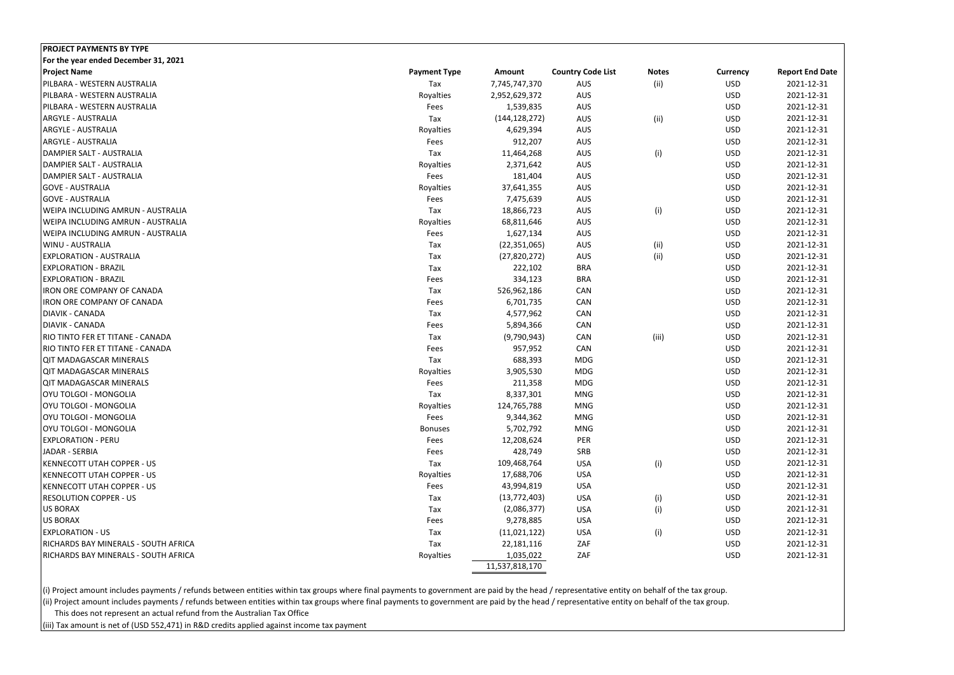| <b>PROJECT PAYMENTS BY TYPE</b>             |                     |                 |                          |              |                 |                        |
|---------------------------------------------|---------------------|-----------------|--------------------------|--------------|-----------------|------------------------|
| For the year ended December 31, 2021        |                     |                 |                          |              |                 |                        |
| <b>Project Name</b>                         | <b>Payment Type</b> | <b>Amount</b>   | <b>Country Code List</b> | <b>Notes</b> | <b>Currency</b> | <b>Report End Date</b> |
| PILBARA - WESTERN AUSTRALIA                 | Tax                 | 7,745,747,370   | <b>AUS</b>               | (ii)         | <b>USD</b>      | 2021-12-31             |
| PILBARA - WESTERN AUSTRALIA                 | Royalties           | 2,952,629,372   | <b>AUS</b>               |              | <b>USD</b>      | 2021-12-31             |
| PILBARA - WESTERN AUSTRALIA                 | Fees                | 1,539,835       | <b>AUS</b>               |              | <b>USD</b>      | 2021-12-31             |
| <b>ARGYLE - AUSTRALIA</b>                   | Tax                 | (144, 128, 272) | <b>AUS</b>               | (ii)         | <b>USD</b>      | 2021-12-31             |
| <b>ARGYLE - AUSTRALIA</b>                   | Royalties           | 4,629,394       | <b>AUS</b>               |              | <b>USD</b>      | 2021-12-31             |
| <b>ARGYLE - AUSTRALIA</b>                   | Fees                | 912,207         | AUS                      |              | <b>USD</b>      | 2021-12-31             |
| DAMPIER SALT - AUSTRALIA                    | Tax                 | 11,464,268      | AUS                      | (i)          | <b>USD</b>      | 2021-12-31             |
| DAMPIER SALT - AUSTRALIA                    | Royalties           | 2,371,642       | AUS                      |              | <b>USD</b>      | 2021-12-31             |
| DAMPIER SALT - AUSTRALIA                    | Fees                | 181,404         | AUS                      |              | <b>USD</b>      | 2021-12-31             |
| <b>GOVE - AUSTRALIA</b>                     | Royalties           | 37,641,355      | AUS                      |              | <b>USD</b>      | 2021-12-31             |
| <b>GOVE - AUSTRALIA</b>                     | Fees                | 7,475,639       | AUS                      |              | <b>USD</b>      | 2021-12-31             |
| <b>WEIPA INCLUDING AMRUN - AUSTRALIA</b>    | Tax                 | 18,866,723      | <b>AUS</b>               | (i)          | <b>USD</b>      | 2021-12-31             |
| <b>WEIPA INCLUDING AMRUN - AUSTRALIA</b>    | Royalties           | 68,811,646      | <b>AUS</b>               |              | <b>USD</b>      | 2021-12-31             |
| <b>WEIPA INCLUDING AMRUN - AUSTRALIA</b>    | Fees                | 1,627,134       | AUS                      |              | <b>USD</b>      | 2021-12-31             |
| <b>WINU - AUSTRALIA</b>                     | Tax                 | (22, 351, 065)  | AUS                      | (ii)         | <b>USD</b>      | 2021-12-31             |
| <b>EXPLORATION - AUSTRALIA</b>              | Tax                 | (27,820,272)    | <b>AUS</b>               | (ii)         | <b>USD</b>      | 2021-12-31             |
| <b>EXPLORATION - BRAZIL</b>                 | Tax                 | 222,102         | <b>BRA</b>               |              | <b>USD</b>      | 2021-12-31             |
| <b>EXPLORATION - BRAZIL</b>                 | Fees                | 334,123         | <b>BRA</b>               |              | <b>USD</b>      | 2021-12-31             |
| <b>IRON ORE COMPANY OF CANADA</b>           | Tax                 | 526,962,186     | CAN                      |              | <b>USD</b>      | 2021-12-31             |
| <b>IRON ORE COMPANY OF CANADA</b>           | Fees                | 6,701,735       | CAN                      |              | <b>USD</b>      | 2021-12-31             |
| <b>DIAVIK - CANADA</b>                      | Tax                 | 4,577,962       | CAN                      |              | <b>USD</b>      | 2021-12-31             |
| <b>DIAVIK - CANADA</b>                      | Fees                | 5,894,366       | CAN                      |              | <b>USD</b>      | 2021-12-31             |
| RIO TINTO FER ET TITANE - CANADA            | Tax                 | (9,790,943)     | CAN                      | (iii)        | <b>USD</b>      | 2021-12-31             |
| RIO TINTO FER ET TITANE - CANADA            | Fees                | 957,952         | CAN                      |              | <b>USD</b>      | 2021-12-31             |
| <b>QIT MADAGASCAR MINERALS</b>              | Tax                 | 688,393         | <b>MDG</b>               |              | <b>USD</b>      | 2021-12-31             |
| <b>QIT MADAGASCAR MINERALS</b>              | Royalties           | 3,905,530       | <b>MDG</b>               |              | <b>USD</b>      | 2021-12-31             |
| <b>QIT MADAGASCAR MINERALS</b>              | Fees                | 211,358         | <b>MDG</b>               |              | <b>USD</b>      | 2021-12-31             |
| OYU TOLGOI - MONGOLIA                       | Tax                 | 8,337,301       | <b>MNG</b>               |              | <b>USD</b>      | 2021-12-31             |
| OYU TOLGOI - MONGOLIA                       | Royalties           | 124,765,788     | <b>MNG</b>               |              | <b>USD</b>      | 2021-12-31             |
| OYU TOLGOI - MONGOLIA                       | Fees                | 9,344,362       | MNG                      |              | <b>USD</b>      | 2021-12-31             |
| OYU TOLGOI - MONGOLIA                       | <b>Bonuses</b>      | 5,702,792       | <b>MNG</b>               |              | <b>USD</b>      | 2021-12-31             |
| <b>EXPLORATION - PERU</b>                   | Fees                | 12,208,624      | PER                      |              | <b>USD</b>      | 2021-12-31             |
| JADAR - SERBIA                              | Fees                | 428,749         | SRB                      |              | <b>USD</b>      | 2021-12-31             |
| <b>KENNECOTT UTAH COPPER - US</b>           | Tax                 | 109,468,764     | <b>USA</b>               | (i)          | <b>USD</b>      | 2021-12-31             |
| <b>KENNECOTT UTAH COPPER - US</b>           | Royalties           | 17,688,706      | <b>USA</b>               |              | <b>USD</b>      | 2021-12-31             |
| <b>KENNECOTT UTAH COPPER - US</b>           | Fees                | 43,994,819      | <b>USA</b>               |              | <b>USD</b>      | 2021-12-31             |
| <b>RESOLUTION COPPER - US</b>               | Tax                 | (13, 772, 403)  | <b>USA</b>               | (i)          | <b>USD</b>      | 2021-12-31             |
| <b>US BORAX</b>                             | Tax                 | (2,086,377)     | <b>USA</b>               | (i)          | <b>USD</b>      | 2021-12-31             |
| <b>US BORAX</b>                             | Fees                | 9,278,885       | <b>USA</b>               |              | <b>USD</b>      | 2021-12-31             |
| <b>EXPLORATION - US</b>                     | Tax                 | (11,021,122)    | <b>USA</b>               | (i)          | <b>USD</b>      | 2021-12-31             |
| RICHARDS BAY MINERALS - SOUTH AFRICA        | Tax                 | 22,181,116      | ZAF                      |              | <b>USD</b>      | 2021-12-31             |
| <b>RICHARDS BAY MINERALS - SOUTH AFRICA</b> | Royalties           | 1,035,022       | ZAF                      |              | <b>USD</b>      | 2021-12-31             |
|                                             |                     | 11,537,818,170  |                          |              |                 |                        |
|                                             |                     |                 |                          |              |                 |                        |

(i) Project amount includes payments / refunds between entities within tax groups where final payments to government are paid by the head / representative entity on behalf of the tax group. (ii) Project amount includes payments / refunds between entities within tax groups where final payments to government are paid by the head / representative entity on behalf of the tax group. This does not represent an actual refund from the Australian Tax Office

(iii) Tax amount is net of (USD 552,471) in R&D credits applied against income tax payment

| urrency           | <b>Report End Date</b>   |
|-------------------|--------------------------|
| USD               | 2021-12-31               |
| <b>USD</b>        | 2021-12-31               |
| USD               | 2021-12-31               |
| USD               | 2021-12-31               |
| USD               | 2021-12-31               |
| USD               | 2021-12-31               |
| USD               | 2021-12-31               |
| USD               | 2021-12-31               |
| <b>USD</b>        | 2021-12-31               |
| USD               | 2021-12-31               |
| USD               | 2021-12-31               |
| USD               | 2021-12-31               |
| USD               | 2021-12-31               |
| USD               | 2021-12-31               |
| USD               | 2021-12-31               |
| USD               | 2021-12-31               |
| USD               | 2021-12-31               |
| USD               | 2021-12-31               |
| <b>USD</b>        | 2021-12-31               |
| USD               | 2021-12-31               |
| USD               | 2021-12-31               |
| USD               | 2021-12-31               |
| USD               | 2021-12-31               |
| USD               | 2021-12-31               |
| USD               | 2021-12-31               |
| USD               | 2021-12-31               |
| USD               | 2021-12-31               |
| USD               | 2021-12-31               |
| USD               | 2021-12-31               |
| USD               | 2021-12-31               |
| USD               | 2021-12-31<br>2021-12-31 |
| <b>USD</b>        |                          |
| USD<br><b>USD</b> | 2021-12-31<br>2021-12-31 |
| USD               | 2021-12-31               |
| USD               | 2021-12-31               |
| USD               | 2021-12-31               |
| USD               | 2021-12-31               |
| <b>USD</b>        | 2021-12-31               |
| USD               | 2021-12-31               |
| USD               | 2021-12-31               |
| USD               | 2021-12-31               |
|                   |                          |
|                   |                          |
|                   |                          |